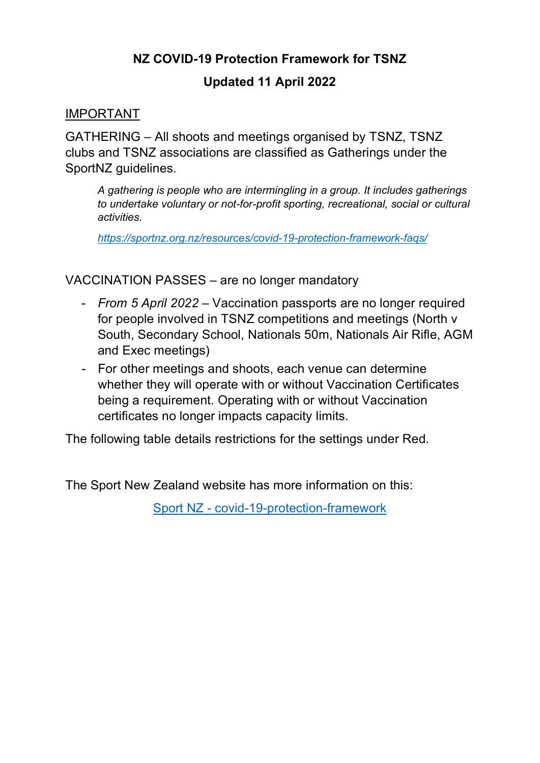## **NZ COVID-19 Protection Framework for TSNZ**

## **Updated 11 April 2022**

#### IMPORTANT

GATHERING – All shoots and meetings organised by TSNZ, TSNZ clubs and TSNZ associations are classified as Gatherings under the SportNZ quidelines.

*A gathering is people who are intermingling in a group. It includes gatherings to undertake voluntary or not-for-profit sporting, recreational, social or cultural activities.*

*<https://sportnz.org.nz/resources/covid-19-protection-framework-faqs/>*

VACCINATION PASSES – are no longer mandatory

- *From 5 April 2022* Vaccination passports are no longer required for people involved in TSNZ competitions and meetings (North v South, Secondary School, Nationals 50m, Nationals Air Rifle, AGM and Exec meetings)
- For other meetings and shoots, each venue can determine whether they will operate with or without Vaccination Certificates being a requirement. Operating with or without Vaccination certificates no longer impacts capacity limits.

The following table details restrictions for the settings under Red.

The Sport New Zealand website has more information on this:

Sport NZ - [covid-19-protection-framework](https://sportnz.org.nz/covid-19-response/covid-19-protection-framework/?utm_source=newsletter&utm_medium=email&utm_campaign=COVID-19_Sector_Update-23March2022&sfmc_id=18844944)